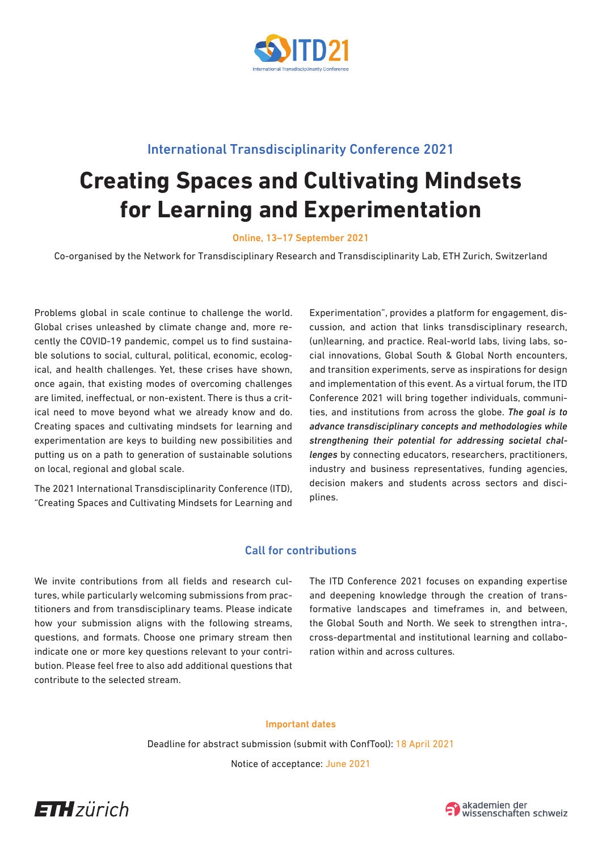

# International Transdisciplinarity Conference 2021

# **Creating Spaces and Cultivating Mindsets for Learning and Experimentation**

Online, 13–17 September 2021

Co-organised by the Network for Transdisciplinary Research and Transdisciplinarity Lab, ETH Zurich, Switzerland

Problems global in scale continue to challenge the world. Global crises unleashed by climate change and, more recently the COVID-19 pandemic, compel us to find sustainable solutions to social, cultural, political, economic, ecological, and health challenges. Yet, these crises have shown, once again, that existing modes of overcoming challenges are limited, ineffectual, or non-existent. There is thus a critical need to move beyond what we already know and do. Creating spaces and cultivating mindsets for learning and experimentation are keys to building new possibilities and putting us on a path to generation of sustainable solutions on local, regional and global scale.

The 2021 International Transdisciplinarity Conference (ITD), "Creating Spaces and Cultivating Mindsets for Learning and Experimentation", provides a platform for engagement, discussion, and action that links transdisciplinary research, (un)learning, and practice. Real-world labs, living labs, social innovations, Global South & Global North encounters, and transition experiments, serve as inspirations for design and implementation of this event. As a virtual forum, the ITD Conference 2021 will bring together individuals, communities, and institutions from across the globe. *The goal is to advance transdisciplinary concepts and methodologies while strengthening their potential for addressing societal challenges* by connecting educators, researchers, practitioners, industry and business representatives, funding agencies, decision makers and students across sectors and disciplines.

# Call for contributions

We invite contributions from all fields and research cultures, while particularly welcoming submissions from practitioners and from transdisciplinary teams. Please indicate how your submission aligns with the following streams, questions, and formats. Choose one primary stream then indicate one or more key questions relevant to your contribution. Please feel free to also add additional questions that contribute to the selected stream.

The ITD Conference 2021 focuses on expanding expertise and deepening knowledge through the creation of transformative landscapes and timeframes in, and between, the Global South and North. We seek to strengthen intra-, cross-departmental and institutional learning and collaboration within and across cultures.

#### Important dates

Deadline for abstract submission (submit with ConfTool): 18 April 2021

Notice of acceptance: June 2021



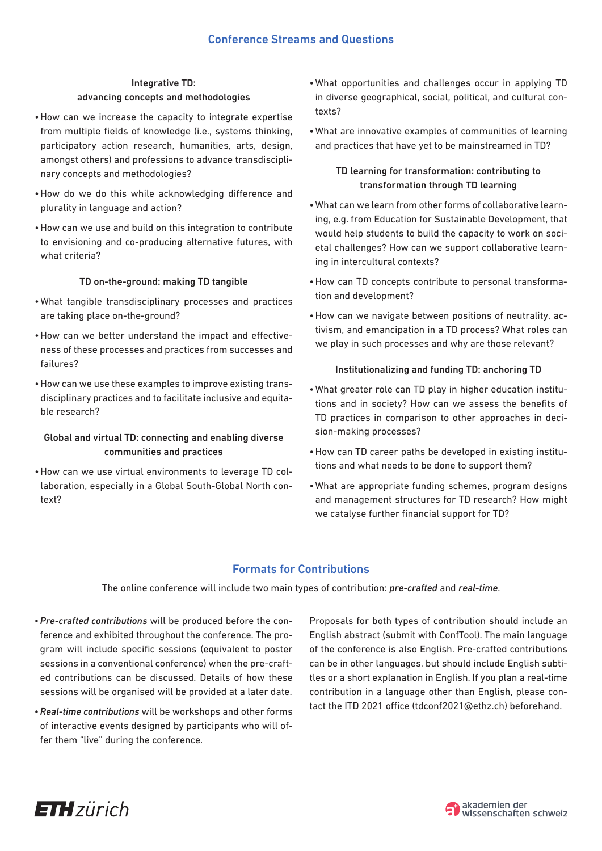## Integrative TD: advancing concepts and methodologies

- •How can we increase the capacity to integrate expertise from multiple fields of knowledge (i.e., systems thinking, participatory action research, humanities, arts, design, amongst others) and professions to advance transdisciplinary concepts and methodologies?
- •How do we do this while acknowledging difference and plurality in language and action?
- •How can we use and build on this integration to contribute to envisioning and co-producing alternative futures, with what criteria?

#### TD on-the-ground: making TD tangible

- •What tangible transdisciplinary processes and practices are taking place on-the-ground?
- •How can we better understand the impact and effectiveness of these processes and practices from successes and failures?
- •How can we use these examples to improve existing transdisciplinary practices and to facilitate inclusive and equitable research?

# Global and virtual TD: connecting and enabling diverse communities and practices

•How can we use virtual environments to leverage TD collaboration, especially in a Global South-Global North context?

- •What opportunities and challenges occur in applying TD in diverse geographical, social, political, and cultural contexts?
- •What are innovative examples of communities of learning and practices that have yet to be mainstreamed in TD?

# TD learning for transformation: contributing to transformation through TD learning

- •What can we learn from other forms of collaborative learning, e.g. from Education for Sustainable Development, that would help students to build the capacity to work on societal challenges? How can we support collaborative learning in intercultural contexts?
- •How can TD concepts contribute to personal transformation and development?
- •How can we navigate between positions of neutrality, activism, and emancipation in a TD process? What roles can we play in such processes and why are those relevant?

#### Institutionalizing and funding TD: anchoring TD

- •What greater role can TD play in higher education institutions and in society? How can we assess the benefits of TD practices in comparison to other approaches in decision-making processes?
- •How can TD career paths be developed in existing institutions and what needs to be done to support them?
- •What are appropriate funding schemes, program designs and management structures for TD research? How might we catalyse further financial support for TD?

# Formats for Contributions

The online conference will include two main types of contribution: *pre-crafted* and *real-time*.

- •*Pre-crafted contributions* will be produced before the conference and exhibited throughout the conference. The program will include specific sessions (equivalent to poster sessions in a conventional conference) when the pre-crafted contributions can be discussed. Details of how these sessions will be organised will be provided at a later date.
- •*Real-time contributions* will be workshops and other forms of interactive events designed by participants who will offer them "live" during the conference.

Proposals for both types of contribution should include an English abstract (submit with ConfTool). The main language of the conference is also English. Pre-crafted contributions can be in other languages, but should include English subtitles or a short explanation in English. If you plan a real-time contribution in a language other than English, please contact the ITD 2021 office (tdconf2021@ethz.ch) beforehand.



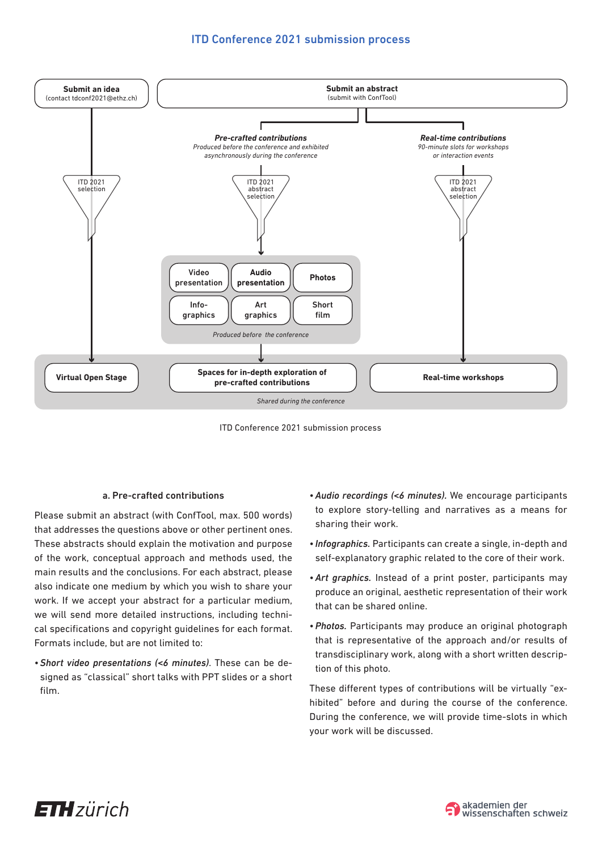# ITD Conference 2021 submission process



ITD Conference 2021 submission process

#### a. Pre-crafted contributions

Please submit an abstract (with ConfTool, max. 500 words) that addresses the questions above or other pertinent ones. These abstracts should explain the motivation and purpose of the work, conceptual approach and methods used, the main results and the conclusions. For each abstract, please also indicate one medium by which you wish to share your work. If we accept your abstract for a particular medium, we will send more detailed instructions, including technical specifications and copyright guidelines for each format. Formats include, but are not limited to:

•*Short video presentations (<6 minutes)*. These can be designed as "classical" short talks with PPT slides or a short film.

- •*Audio recordings (<6 minutes).* We encourage participants to explore story-telling and narratives as a means for sharing their work.
- *Infographics.* Participants can create a single, in-depth and self-explanatory graphic related to the core of their work.
- •*Art graphics.* Instead of a print poster, participants may produce an original, aesthetic representation of their work that can be shared online.
- •*Photos.* Participants may produce an original photograph that is representative of the approach and/or results of transdisciplinary work, along with a short written description of this photo.

These different types of contributions will be virtually "exhibited" before and during the course of the conference. During the conference, we will provide time-slots in which your work will be discussed.